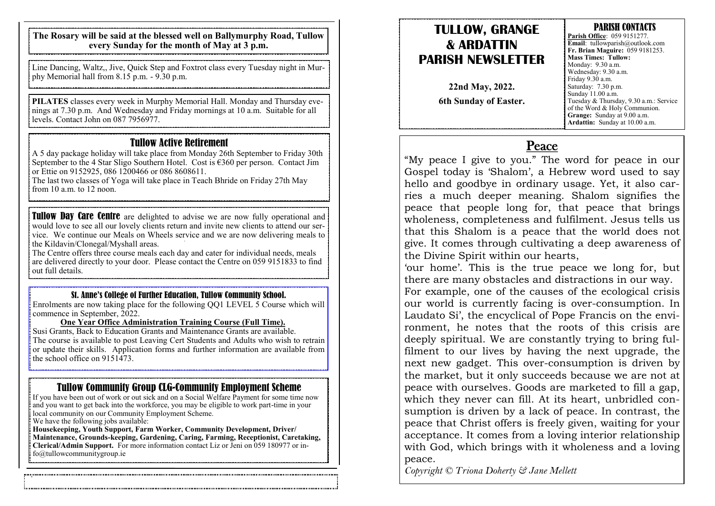**The Rosary will be said at the blessed well on Ballymurphy Road, Tullow every Sunday for the month of May at 3 p.m.**

Line Dancing, Waltz,, Jive, Quick Step and Foxtrot class every Tuesday night in Murphy Memorial hall from 8.15 p.m. - 9.30 p.m.

**PILATES** classes every week in Murphy Memorial Hall. Monday and Thursday evenings at 7.30 p.m. And Wednesday and Friday mornings at 10 a.m. Suitable for all levels. Contact John on 087 7956977.

#### Tullow Active Retirement

A 5 day package holiday will take place from Monday 26th September to Friday 30th September to the 4 Star Sligo Southern Hotel. Cost is  $\epsilon$ 360 per person. Contact Jim or Ettie on 9152925, 086 1200466 or 086 8608611.

The last two classes of Yoga will take place in Teach Bhride on Friday 27th May from 10 a.m. to 12 noon.

**Tullow Day Care Centre** are delighted to advise we are now fully operational and would love to see all our lovely clients return and invite new clients to attend our service. We continue our Meals on Wheels service and we are now delivering meals to the Kildavin/Clonegal/Myshall areas.

The Centre offers three course meals each day and cater for individual needs, meals are delivered directly to your door. Please contact the Centre on 059 9151833 to find out full details.

#### St. Anne's College of Further Education, Tullow Community School.

Enrolments are now taking place for the following QQ1 LEVEL 5 Course which will commence in September, 2022.

#### **One Year Office Administration Training Course (Full Time).**

Susi Grants, Back to Education Grants and Maintenance Grants are available. The course is available to post Leaving Cert Students and Adults who wish to retrain or update their skills. Application forms and further information are available from the school office on  $9151473$ .

### Tullow Community Group CLG-Community Employment Scheme

If you have been out of work or out sick and on a Social Welfare Payment for some time now and you want to get back into the workforce, you may be eligible to work part-time in your local community on our Community Employment Scheme.

We have the following jobs available:

**Housekeeping, Youth Support, Farm Worker, Community Development, Driver/ Maintenance, Grounds-keeping, Gardening, Caring, Farming, Receptionist, Caretaking, Clerical/Admin Support.** For more information contact Liz or Jeni on 059 180977 or in- $\frac{1}{2}$  fo@tullowcommunitygroup.ie

### **TULLOW, GRANGE & ARDATTIN PARISH NEWSLETTER**

**22nd May, 2022. 6th Sunday of Easter.** 

#### PARISH CONTACTS **Parish Office**: 059 9151277. **Email**: tullowparish@outlook.com **Fr. Brian Maguire:** 059 9181253. **Mass Times: Tullow:**  Monday: 9.30 a.m. Wednesday: 9.30 a.m. Friday 9.30 a.m. Saturday: 7.30 p.m. Sunday 11.00 a.m. Tuesday & Thursday, 9.30 a.m.: Service of the Word & Holy Communion. **Grange:** Sunday at 9.00 a.m. **Ardattin:** Sunday at 10.00 a.m.

### Peace

"My peace I give to you." The word for peace in our Gospel today is 'Shalom', a Hebrew word used to say hello and goodbye in ordinary usage. Yet, it also carries a much deeper meaning. Shalom signifies the peace that people long for, that peace that brings wholeness, completeness and fulfilment. Jesus tells us that this Shalom is a peace that the world does not give. It comes through cultivating a deep awareness of the Divine Spirit within our hearts,

'our home'. This is the true peace we long for, but there are many obstacles and distractions in our way.

For example, one of the causes of the ecological crisis our world is currently facing is over-consumption. In Laudato Si', the encyclical of Pope Francis on the environment, he notes that the roots of this crisis are deeply spiritual. We are constantly trying to bring fulfilment to our lives by having the next upgrade, the next new gadget. This over-consumption is driven by the market, but it only succeeds because we are not at peace with ourselves. Goods are marketed to fill a gap, which they never can fill. At its heart, unbridled consumption is driven by a lack of peace. In contrast, the peace that Christ offers is freely given, waiting for your acceptance. It comes from a loving interior relationship with God, which brings with it wholeness and a loving peace.

*Copyright © Triona Doherty & Jane Mellett*